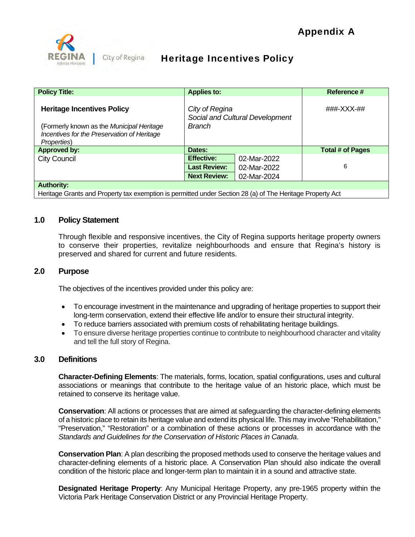

# Heritage Incentives Policy

| <b>Policy Title:</b>                                                                                    | <b>Applies to:</b>                                                 |             | Reference #      |
|---------------------------------------------------------------------------------------------------------|--------------------------------------------------------------------|-------------|------------------|
| <b>Heritage Incentives Policy</b>                                                                       | City of Regina<br>Social and Cultural Development<br><b>Branch</b> |             | ###-XXX-##       |
| (Formerly known as the Municipal Heritage<br>Incentives for the Preservation of Heritage<br>Properties) |                                                                    |             |                  |
| <b>Approved by:</b>                                                                                     | Dates:                                                             |             | Total # of Pages |
| <b>City Council</b>                                                                                     | <b>Effective:</b>                                                  | 02-Mar-2022 |                  |
|                                                                                                         | <b>Last Review:</b>                                                | 02-Mar-2022 | 6                |
|                                                                                                         | <b>Next Review:</b>                                                | 02-Mar-2024 |                  |
| <b>Authority:</b>                                                                                       |                                                                    |             |                  |

Heritage Grants and Property tax exemption is permitted under Section 28 (a) of The Heritage Property Act

# **1.0 Policy Statement**

Through flexible and responsive incentives, the City of Regina supports heritage property owners to conserve their properties, revitalize neighbourhoods and ensure that Regina's history is preserved and shared for current and future residents.

# **2.0 Purpose**

The objectives of the incentives provided under this policy are:

- To encourage investment in the maintenance and upgrading of heritage properties to support their long-term conservation, extend their effective life and/or to ensure their structural integrity.
- To reduce barriers associated with premium costs of rehabilitating heritage buildings.
- To ensure diverse heritage properties continue to contribute to neighbourhood character and vitality and tell the full story of Regina.

# **3.0 Definitions**

**Character-Defining Elements**: The materials, forms, location, spatial configurations, uses and cultural associations or meanings that contribute to the heritage value of an historic place, which must be retained to conserve its heritage value.

**Conservation**: All actions or processes that are aimed at safeguarding the character-defining elements of a historic place to retain its heritage value and extend its physical life. This may involve "Rehabilitation," "Preservation," "Restoration" or a combination of these actions or processes in accordance with the *Standards and Guidelines for the Conservation of Historic Places in Canada*.

**Conservation Plan**: A plan describing the proposed methods used to conserve the heritage values and character-defining elements of a historic place*.* A Conservation Plan should also indicate the overall condition of the historic place and longer-term plan to maintain it in a sound and attractive state.

**Designated Heritage Property**: Any Municipal Heritage Property, any pre-1965 property within the Victoria Park Heritage Conservation District or any Provincial Heritage Property.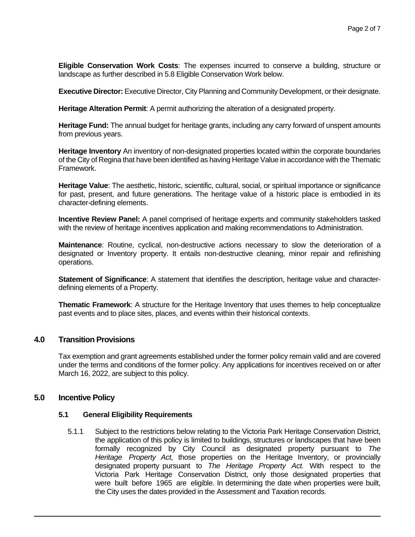**Eligible Conservation Work Costs**: The expenses incurred to conserve a building, structure or landscape as further described in 5.8 Eligible Conservation Work below.

**Executive Director:** Executive Director, City Planning and Community Development, or their designate.

**Heritage Alteration Permit**: A permit authorizing the alteration of a designated property.

**Heritage Fund:** The annual budget for heritage grants, including any carry forward of unspent amounts from previous years.

**Heritage Inventory** An inventory of non-designated properties located within the corporate boundaries of the City of Regina that have been identified as having Heritage Value in accordance with the Thematic Framework.

**Heritage Value**: The aesthetic, historic, scientific, cultural, social, or spiritual importance or significance for past, present, and future generations. The heritage value of a historic place is embodied in its character-defining elements.

**Incentive Review Panel:** A panel comprised of heritage experts and community stakeholders tasked with the review of heritage incentives application and making recommendations to Administration.

**Maintenance**: Routine, cyclical, non-destructive actions necessary to slow the deterioration of a designated or Inventory property. It entails non-destructive cleaning, minor repair and refinishing operations.

**Statement of Significance**: A statement that identifies the description, heritage value and characterdefining elements of a Property.

**Thematic Framework**: A structure for the Heritage Inventory that uses themes to help conceptualize past events and to place sites, places, and events within their historical contexts.

# **4.0 Transition Provisions**

Tax exemption and grant agreements established under the former policy remain valid and are covered under the terms and conditions of the former policy. Any applications for incentives received on or after March 16, 2022, are subject to this policy.

# **5.0 Incentive Policy**

# **5.1 General Eligibility Requirements**

5.1.1 Subject to the restrictions below relating to the Victoria Park Heritage Conservation District, the application of this policy is limited to buildings, structures or landscapes that have been formally recognized by City Council as designated property pursuant to *The Heritage Property Act,* those properties on the Heritage Inventory, or provincially designated property pursuant to *The Heritage Property Act.* With respect to the Victoria Park Heritage Conservation District, only those designated properties that were built before 1965 are eligible. In determining the date when properties were built, the City uses the dates provided in the Assessment and Taxation records.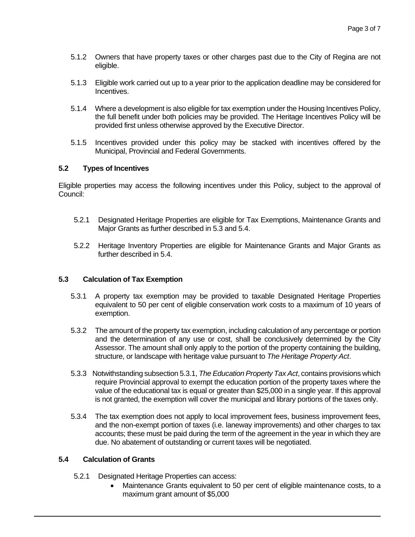- 5.1.2 Owners that have property taxes or other charges past due to the City of Regina are not eligible.
- 5.1.3 Eligible work carried out up to a year prior to the application deadline may be considered for Incentives.
- 5.1.4 Where a development is also eligible for tax exemption under the Housing Incentives Policy, the full benefit under both policies may be provided. The Heritage Incentives Policy will be provided first unless otherwise approved by the Executive Director.
- 5.1.5 Incentives provided under this policy may be stacked with incentives offered by the Municipal, Provincial and Federal Governments.

# **5.2 Types of Incentives**

Eligible properties may access the following incentives under this Policy, subject to the approval of Council:

- 5.2.1 Designated Heritage Properties are eligible for Tax Exemptions, Maintenance Grants and Major Grants as further described in 5.3 and 5.4.
- 5.2.2 Heritage Inventory Properties are eligible for Maintenance Grants and Major Grants as further described in 5.4.

# **5.3 Calculation of Tax Exemption**

- 5.3.1 A property tax exemption may be provided to taxable Designated Heritage Properties equivalent to 50 per cent of eligible conservation work costs to a maximum of 10 years of exemption.
- 5.3.2 The amount of the property tax exemption, including calculation of any percentage or portion and the determination of any use or cost, shall be conclusively determined by the City Assessor. The amount shall only apply to the portion of the property containing the building, structure, or landscape with heritage value pursuant to *The Heritage Property Act*.
- 5.3.3 Notwithstanding subsection 5.3.1, *The Education Property Tax Act*, contains provisions which require Provincial approval to exempt the education portion of the property taxes where the value of the educational tax is equal or greater than \$25,000 in a single year. If this approval is not granted, the exemption will cover the municipal and library portions of the taxes only.
- 5.3.4 The tax exemption does not apply to local improvement fees, business improvement fees, and the non-exempt portion of taxes (i.e. laneway improvements) and other charges to tax accounts; these must be paid during the term of the agreement in the year in which they are due. No abatement of outstanding or current taxes will be negotiated.

# **5.4 Calculation of Grants**

- 5.2.1 Designated Heritage Properties can access:
	- Maintenance Grants equivalent to 50 per cent of eligible maintenance costs, to a maximum grant amount of \$5,000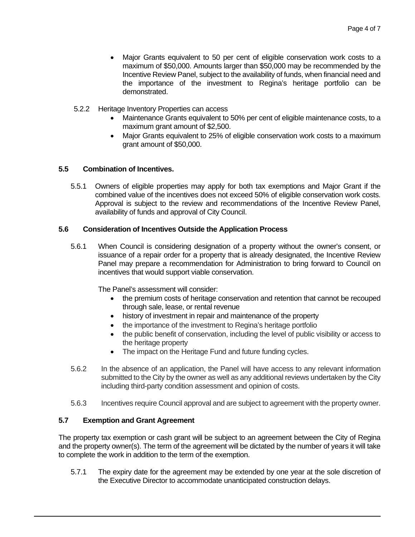- Major Grants equivalent to 50 per cent of eligible conservation work costs to a maximum of \$50,000. Amounts larger than \$50,000 may be recommended by the Incentive Review Panel, subject to the availability of funds, when financial need and the importance of the investment to Regina's heritage portfolio can be demonstrated.
- 5.2.2 Heritage Inventory Properties can access
	- Maintenance Grants equivalent to 50% per cent of eligible maintenance costs, to a maximum grant amount of \$2,500.
	- Major Grants equivalent to 25% of eligible conservation work costs to a maximum grant amount of \$50,000.

# **5.5 Combination of Incentives.**

5.5.1 Owners of eligible properties may apply for both tax exemptions and Major Grant if the combined value of the incentives does not exceed 50% of eligible conservation work costs. Approval is subject to the review and recommendations of the Incentive Review Panel, availability of funds and approval of City Council.

# **5.6 Consideration of Incentives Outside the Application Process**

5.6.1 When Council is considering designation of a property without the owner's consent, or issuance of a repair order for a property that is already designated, the Incentive Review Panel may prepare a recommendation for Administration to bring forward to Council on incentives that would support viable conservation.

The Panel's assessment will consider:

- the premium costs of heritage conservation and retention that cannot be recouped through sale, lease, or rental revenue
- history of investment in repair and maintenance of the property
- the importance of the investment to Regina's heritage portfolio
- the public benefit of conservation, including the level of public visibility or access to the heritage property
- The impact on the Heritage Fund and future funding cycles.
- 5.6.2 In the absence of an application, the Panel will have access to any relevant information submitted to the City by the owner as well as any additional reviews undertaken by the City including third-party condition assessment and opinion of costs.
- 5.6.3 Incentives require Council approval and are subject to agreement with the property owner.

# **5.7 Exemption and Grant Agreement**

The property tax exemption or cash grant will be subject to an agreement between the City of Regina and the property owner(s). The term of the agreement will be dictated by the number of years it will take to complete the work in addition to the term of the exemption.

5.7.1 The expiry date for the agreement may be extended by one year at the sole discretion of the Executive Director to accommodate unanticipated construction delays.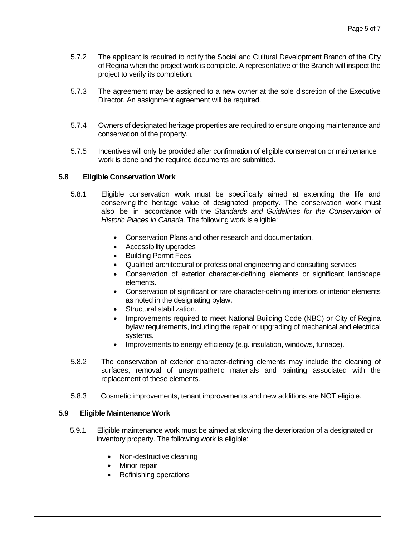- 5.7.2 The applicant is required to notify the Social and Cultural Development Branch of the City of Regina when the project work is complete. A representative of the Branch will inspect the project to verify its completion.
- 5.7.3 The agreement may be assigned to a new owner at the sole discretion of the Executive Director. An assignment agreement will be required.
- 5.7.4 Owners of designated heritage properties are required to ensure ongoing maintenance and conservation of the property.
- 5.7.5 Incentives will only be provided after confirmation of eligible conservation or maintenance work is done and the required documents are submitted.

# **5.8 Eligible Conservation Work**

- 5.8.1 Eligible conservation work must be specifically aimed at extending the life and conserving the heritage value of designated property. The conservation work must also be in accordance with the *Standards and Guidelines for the Conservation of Historic Places in Canada.* The following work is eligible:
	- Conservation Plans and other research and documentation.
	- Accessibility upgrades
	- Building Permit Fees
	- Qualified architectural or professional engineering and consulting services
	- Conservation of exterior character-defining elements or significant landscape elements.
	- Conservation of significant or rare character-defining interiors or interior elements as noted in the designating bylaw.
	- Structural stabilization.
	- Improvements required to meet National Building Code (NBC) or City of Regina bylaw requirements, including the repair or upgrading of mechanical and electrical systems.
	- Improvements to energy efficiency (e.g. insulation, windows, furnace).
- 5.8.2 The conservation of exterior character-defining elements may include the cleaning of surfaces, removal of unsympathetic materials and painting associated with the replacement of these elements.
- 5.8.3 Cosmetic improvements, tenant improvements and new additions are NOT eligible.

#### **5.9 Eligible Maintenance Work**

- 5.9.1 Eligible maintenance work must be aimed at slowing the deterioration of a designated or inventory property. The following work is eligible:
	- Non-destructive cleaning
	- Minor repair
	- Refinishing operations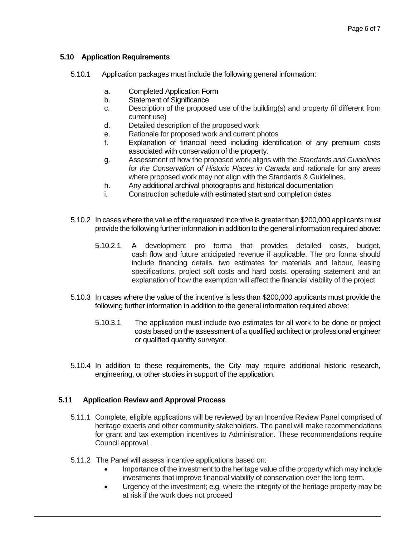# **5.10 Application Requirements**

- 5.10.1 Application packages must include the following general information:
	- a. Completed Application Form
	- b. Statement of Significance
	- c. Description of the proposed use of the building(s) and property (if different from current use)
	- d. Detailed description of the proposed work
	- e. Rationale for proposed work and current photos
	- f. Explanation of financial need including identification of any premium costs associated with conservation of the property.
	- g. Assessment of how the proposed work aligns with the *Standards and Guidelines for the Conservation of Historic Places in Canada* and rationale for any areas where proposed work may not align with the Standards & Guidelines.
	- h. Any additional archival photographs and historical documentation
	- i. Construction schedule with estimated start and completion dates
- 5.10.2 In cases where the value of the requested incentive is greater than \$200,000 applicants must provide the following further information in addition to the general information required above:
	- 5.10.2.1 A development pro forma that provides detailed costs, budget, cash flow and future anticipated revenue if applicable. The pro forma should include financing details, two estimates for materials and labour, leasing specifications, project soft costs and hard costs, operating statement and an explanation of how the exemption will affect the financial viability of the project
- 5.10.3 In cases where the value of the incentive is less than \$200,000 applicants must provide the following further information in addition to the general information required above:
	- 5.10.3.1 The application must include two estimates for all work to be done or project costs based on the assessment of a qualified architect or professional engineer or qualified quantity surveyor.
- 5.10.4 In addition to these requirements, the City may require additional historic research, engineering, or other studies in support of the application.

# **5.11 Application Review and Approval Process**

- 5.11.1 Complete, eligible applications will be reviewed by an Incentive Review Panel comprised of heritage experts and other community stakeholders. The panel will make recommendations for grant and tax exemption incentives to Administration. These recommendations require Council approval.
- 5.11.2 The Panel will assess incentive applications based on:
	- Importance of the investment to the heritage value of the property which may include investments that improve financial viability of conservation over the long term.
	- Urgency of the investment; e.g. where the integrity of the heritage property may be at risk if the work does not proceed